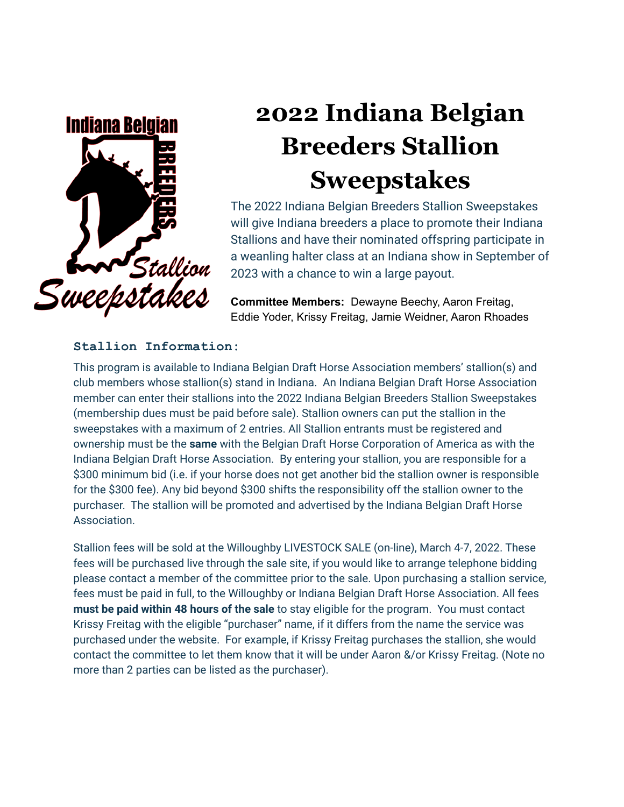

# **2022 Indiana Belgian Breeders Stallion Sweepstakes**

The 2022 Indiana Belgian Breeders Stallion Sweepstakes will give Indiana breeders a place to promote their Indiana Stallions and have their nominated offspring participate in a weanling halter class at an Indiana show in September of 2023 with a chance to win a large payout.

**Committee Members:** Dewayne Beechy, Aaron Freitag, Eddie Yoder, Krissy Freitag, Jamie Weidner, Aaron Rhoades

### **Stallion Information:**

This program is available to Indiana Belgian Draft Horse Association members' stallion(s) and club members whose stallion(s) stand in Indiana. An Indiana Belgian Draft Horse Association member can enter their stallions into the 2022 Indiana Belgian Breeders Stallion Sweepstakes (membership dues must be paid before sale). Stallion owners can put the stallion in the sweepstakes with a maximum of 2 entries. All Stallion entrants must be registered and ownership must be the **same** with the Belgian Draft Horse Corporation of America as with the Indiana Belgian Draft Horse Association. By entering your stallion, you are responsible for a \$300 minimum bid (i.e. if your horse does not get another bid the stallion owner is responsible for the \$300 fee). Any bid beyond \$300 shifts the responsibility off the stallion owner to the purchaser. The stallion will be promoted and advertised by the Indiana Belgian Draft Horse Association.

Stallion fees will be sold at the Willoughby LIVESTOCK SALE (on-line), March 4-7, 2022. These fees will be purchased live through the sale site, if you would like to arrange telephone bidding please contact a member of the committee prior to the sale. Upon purchasing a stallion service, fees must be paid in full, to the Willoughby or Indiana Belgian Draft Horse Association. All fees **must be paid within 48 hours of the sale** to stay eligible for the program. You must contact Krissy Freitag with the eligible "purchaser" name, if it differs from the name the service was purchased under the website. For example, if Krissy Freitag purchases the stallion, she would contact the committee to let them know that it will be under Aaron &/or Krissy Freitag. (Note no more than 2 parties can be listed as the purchaser).